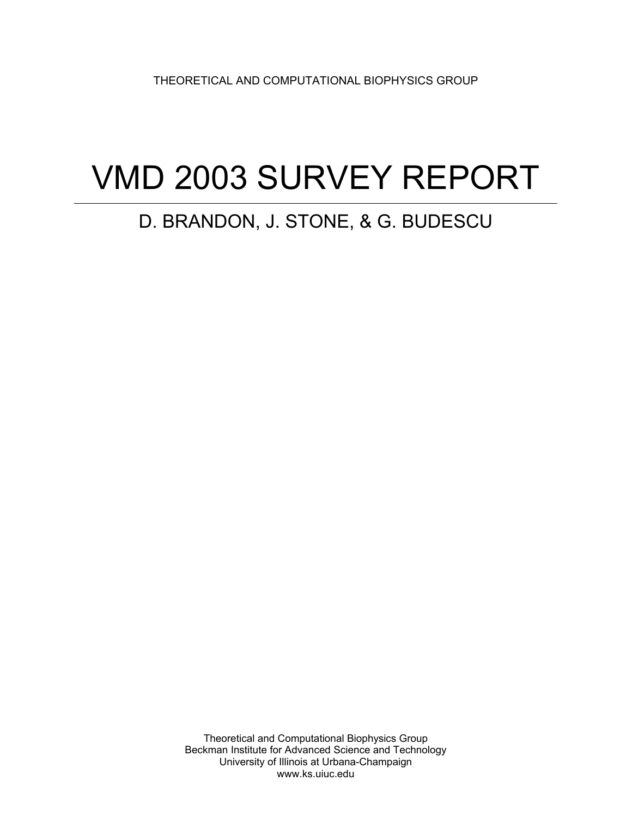THEORETICAL AND COMPUTATIONAL BIOPHYSICS GROUP

# VMD 2003 SURVEY REPORT

## D. BRANDON, J. STONE, & G. BUDESCU

Theoretical and Computational Biophysics Group Beckman Institute for Advanced Science and Technology University of Illinois at Urbana-Champaign www.ks.uiuc.edu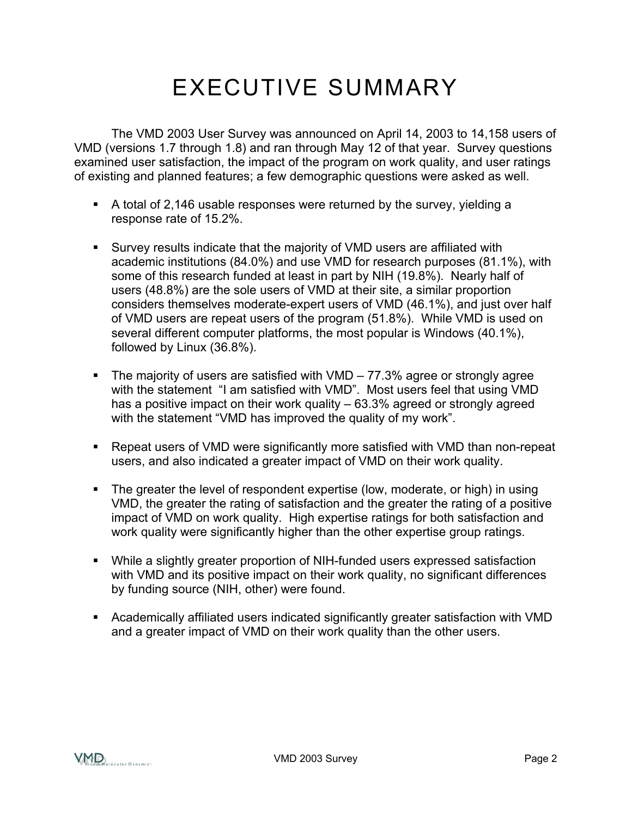# EXECUTIVE SUMMARY

The VMD 2003 User Survey was announced on April 14, 2003 to 14,158 users of VMD (versions 1.7 through 1.8) and ran through May 12 of that year. Survey questions examined user satisfaction, the impact of the program on work quality, and user ratings of existing and planned features; a few demographic questions were asked as well.

- A total of 2,146 usable responses were returned by the survey, yielding a response rate of 15.2%.
- Survey results indicate that the majority of VMD users are affiliated with academic institutions (84.0%) and use VMD for research purposes (81.1%), with some of this research funded at least in part by NIH (19.8%). Nearly half of users (48.8%) are the sole users of VMD at their site, a similar proportion considers themselves moderate-expert users of VMD (46.1%), and just over half of VMD users are repeat users of the program (51.8%). While VMD is used on several different computer platforms, the most popular is Windows (40.1%), followed by Linux (36.8%).
- The majority of users are satisfied with  $VMD 77.3\%$  agree or strongly agree with the statement "I am satisfied with VMD". Most users feel that using VMD has a positive impact on their work quality – 63.3% agreed or strongly agreed with the statement "VMD has improved the quality of my work".
- Repeat users of VMD were significantly more satisfied with VMD than non-repeat users, and also indicated a greater impact of VMD on their work quality.
- The greater the level of respondent expertise (low, moderate, or high) in using VMD, the greater the rating of satisfaction and the greater the rating of a positive impact of VMD on work quality. High expertise ratings for both satisfaction and work quality were significantly higher than the other expertise group ratings.
- While a slightly greater proportion of NIH-funded users expressed satisfaction with VMD and its positive impact on their work quality, no significant differences by funding source (NIH, other) were found.
- Academically affiliated users indicated significantly greater satisfaction with VMD and a greater impact of VMD on their work quality than the other users.

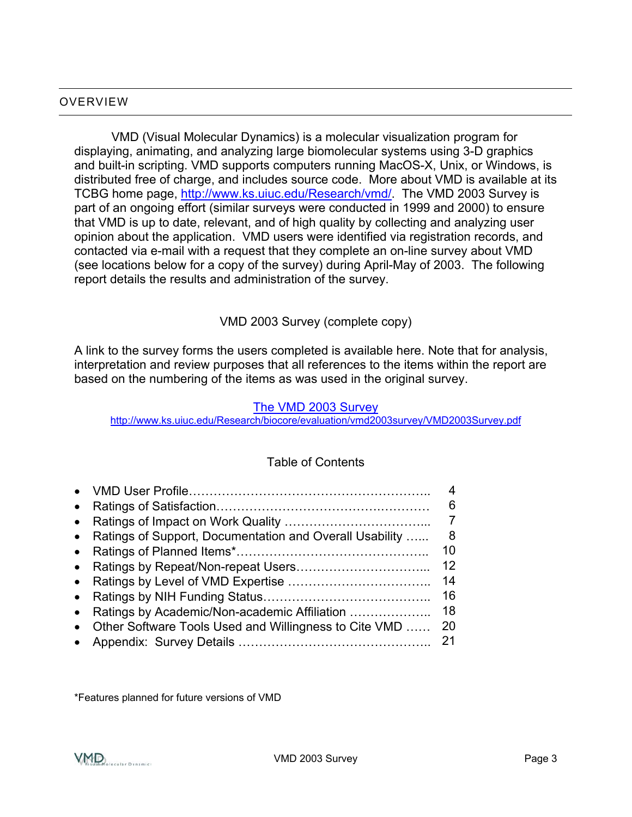#### OVERVIEW

VMD (Visual Molecular Dynamics) is a molecular visualization program for displaying, animating, and analyzing large biomolecular systems using 3-D graphics and built-in scripting. VMD supports computers running MacOS-X, Unix, or Windows, is distributed free of charge, and includes source code. More about VMD is available at its TCBG home page,<http://www.ks.uiuc.edu/Research/vmd/>. The VMD 2003 Survey is part of an ongoing effort (similar surveys were conducted in 1999 and 2000) to ensure that VMD is up to date, relevant, and of high quality by collecting and analyzing user opinion about the application. VMD users were identified via registration records, and contacted via e-mail with a request that they complete an on-line survey about VMD (see locations below for a copy of the survey) during April-May of 2003. The following report details the results and administration of the survey.

VMD 2003 Survey (complete copy)

A link to the survey forms the users completed is available here. Note that for analysis, interpretation and review purposes that all references to the items within the report are based on the numbering of the items as was used in the original survey.

#### [The VMD 2003 Survey](http://www.ks.uiuc.edu/Research/biocore/evaluation/vmd2003survey/VMD2003Survey.pdf)

http://www.ks.uiuc.edu/Research/biocore/evaluation/vmd2003survey/VMD2003Survey.pdf

#### Table of Contents

| $\bullet$ |                                                           | 6  |
|-----------|-----------------------------------------------------------|----|
| $\bullet$ |                                                           |    |
|           | • Ratings of Support, Documentation and Overall Usability | 8  |
| $\bullet$ |                                                           | 10 |
| $\bullet$ |                                                           | 12 |
|           |                                                           | 14 |
| $\bullet$ |                                                           | 16 |
| $\bullet$ | Ratings by Academic/Non-academic Affiliation              | 18 |
|           | Other Software Tools Used and Willingness to Cite VMD     | 20 |
|           |                                                           | 21 |

\*Features planned for future versions of VMD

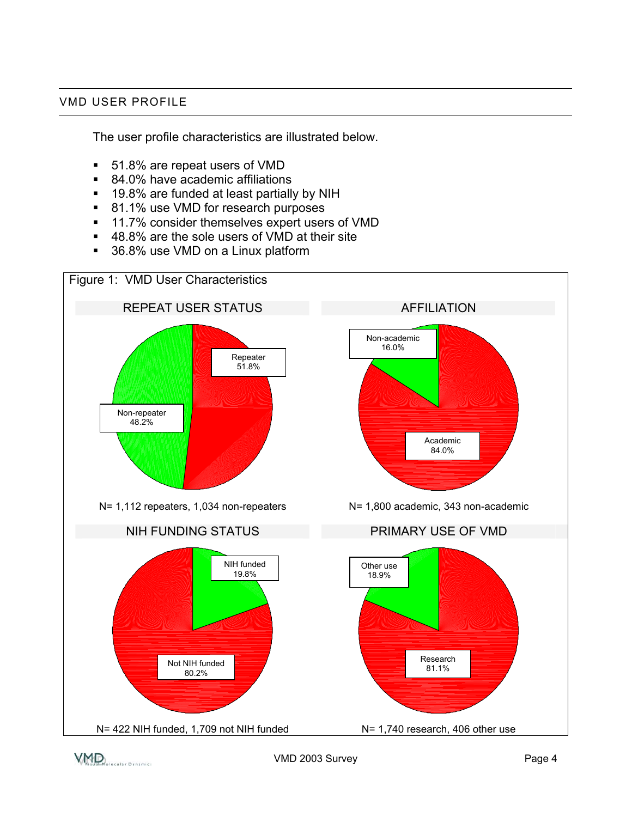#### VMD USER PROFILE

The user profile characteristics are illustrated below.

- 51.8% are repeat users of VMD
- 84.0% have academic affiliations
- 19.8% are funded at least partially by NIH
- 81.1% use VMD for research purposes
- 11.7% consider themselves expert users of VMD
- 48.8% are the sole users of VMD at their site
- 36.8% use VMD on a Linux platform



 $\bigvee \hspace{-7.5mm} \bigwedge \hspace{-7.5mm} \bigwedge \hspace{-7.5mm} \bigwedge \hspace{-7.5mm} \bigwedge \hspace{-7.5mm} \bigwedge \hspace{-7.5mm} \bigwedge \hspace{-7.5mm} \bigwedge \hspace{-7.5mm} \bigwedge \hspace{-7.5mm} \bigwedge \hspace{-7.5mm} \bigwedge \hspace{-7.5mm} \bigwedge \hspace{-7.5mm} \bigwedge \hspace{-7.5mm} \bigwedge \hspace{-7.5mm} \bigwedge \hspace{-7.5mm} \bigwedge \hspace{-7.5mm} \bigwedge \hspace{-7.5mm$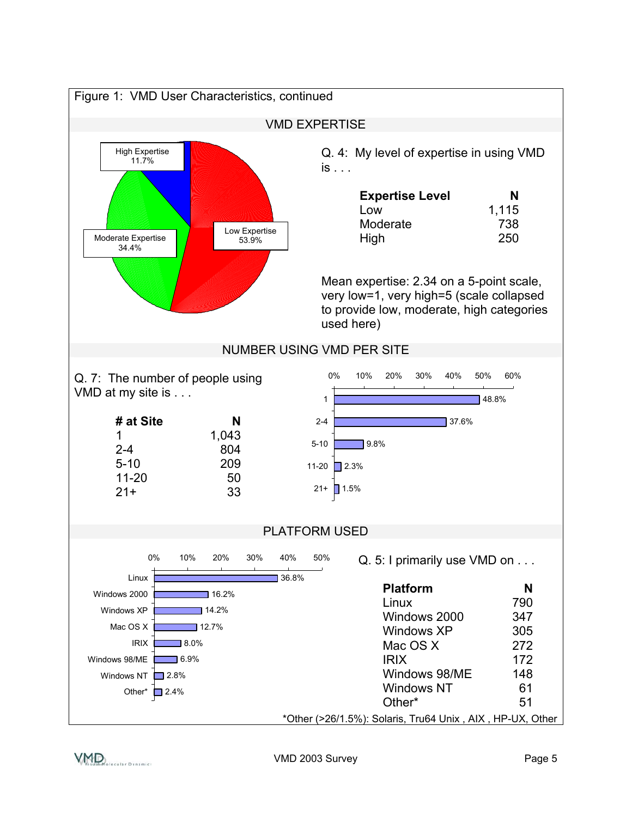

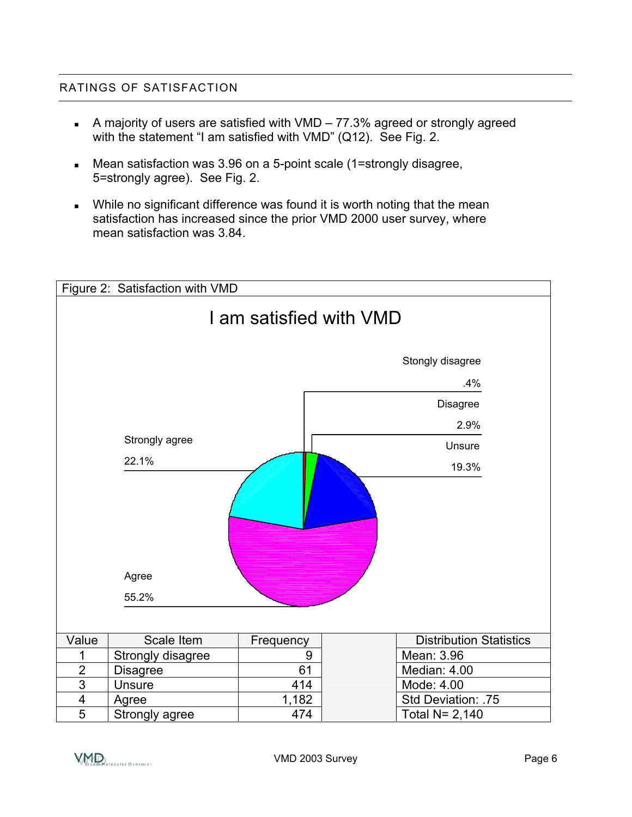#### RATINGS OF SATISFACTION

- A majority of users are satisfied with VMD 77.3% agreed or strongly agreed with the statement "I am satisfied with VMD" (Q12). See Fig. 2.
- Mean satisfaction was 3.96 on a 5-point scale (1=strongly disagree, 5=strongly agree). See Fig. 2.
- While no significant difference was found it is worth noting that the mean satisfaction has increased since the prior VMD 2000 user survey, where mean satisfaction was 3.84.

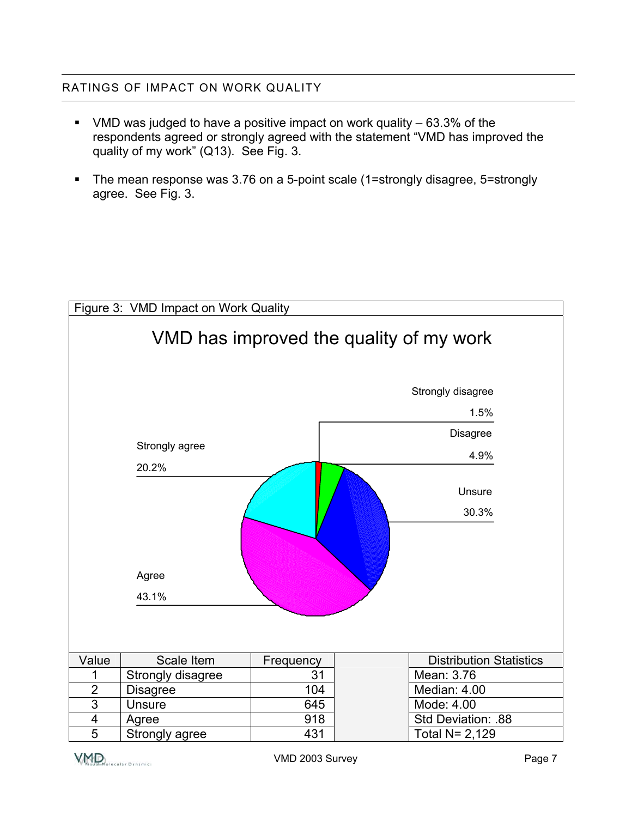#### RATINGS OF IMPACT ON WORK QUALITY

- VMD was judged to have a positive impact on work quality  $-63.3\%$  of the respondents agreed or strongly agreed with the statement "VMD has improved the quality of my work" (Q13). See Fig. 3.
- The mean response was 3.76 on a 5-point scale (1=strongly disagree, 5=strongly agree. See Fig. 3.

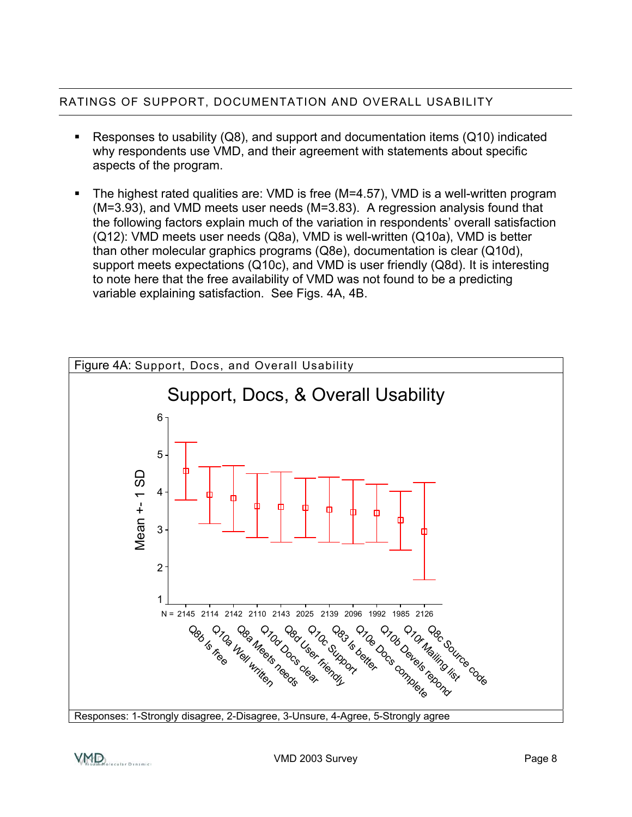#### RATINGS OF SUPPORT, DOCUMENTATION AND OVERALL USABILITY

- Responses to usability  $(Q8)$ , and support and documentation items  $(Q10)$  indicated why respondents use VMD, and their agreement with statements about specific aspects of the program.
- The highest rated qualities are: VMD is free (M=4.57), VMD is a well-written program (M=3.93), and VMD meets user needs (M=3.83). A regression analysis found that the following factors explain much of the variation in respondents' overall satisfaction (Q12): VMD meets user needs (Q8a), VMD is well-written (Q10a), VMD is better than other molecular graphics programs (Q8e), documentation is clear (Q10d), support meets expectations (Q10c), and VMD is user friendly (Q8d). It is interesting to note here that the free availability of VMD was not found to be a predicting variable explaining satisfaction. See Figs. 4A, 4B.



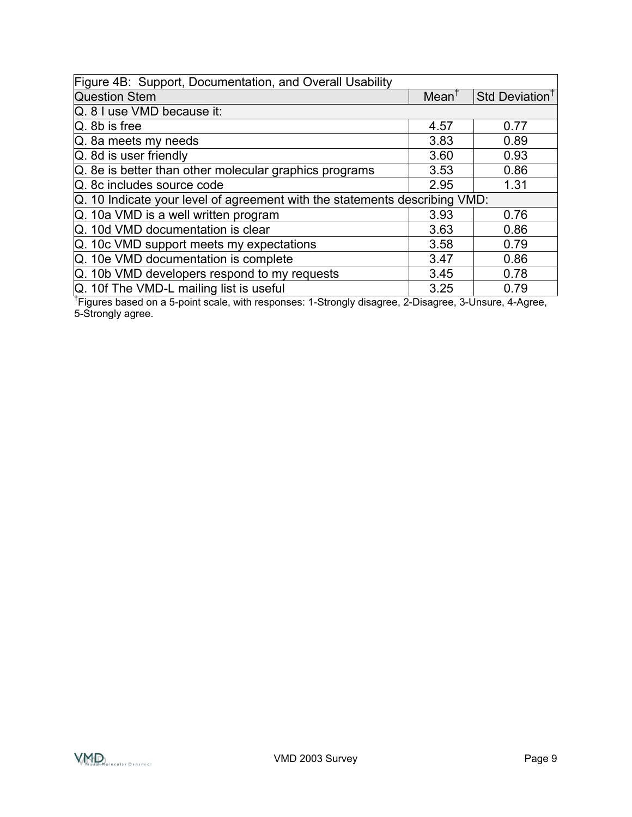| Figure 4B: Support, Documentation, and Overall Usability                                                           |                  |                            |  |
|--------------------------------------------------------------------------------------------------------------------|------------------|----------------------------|--|
| <b>Question Stem</b>                                                                                               | $Mean^{\dagger}$ | Std Deviation <sup>1</sup> |  |
| Q. 8 I use VMD because it:                                                                                         |                  |                            |  |
| $Q.$ 8b is free                                                                                                    | 4.57             | 0.77                       |  |
| Q. 8a meets my needs                                                                                               | 3.83             | 0.89                       |  |
| Q. 8d is user friendly                                                                                             | 3.60             | 0.93                       |  |
| Q. 8e is better than other molecular graphics programs                                                             | 3.53             | 0.86                       |  |
| Q. 8c includes source code                                                                                         | 2.95             | 1.31                       |  |
| Q. 10 Indicate your level of agreement with the statements describing VMD:                                         |                  |                            |  |
| Q. 10a VMD is a well written program                                                                               | 3.93             | 0.76                       |  |
| Q. 10d VMD documentation is clear                                                                                  | 3.63             | 0.86                       |  |
| Q. 10c VMD support meets my expectations                                                                           | 3.58             | 0.79                       |  |
| Q. 10e VMD documentation is complete                                                                               | 3.47             | 0.86                       |  |
| Q. 10b VMD developers respond to my requests                                                                       | 3.45             | 0.78                       |  |
| Q. 10f The VMD-L mailing list is useful                                                                            | 3.25             | 0.79                       |  |
| <sup>†</sup> Figures based on a 5-point scale, with responses: 1-Strongly disagree, 2-Disagree, 3-Unsure, 4-Agree, |                  |                            |  |

5-Strongly agree.

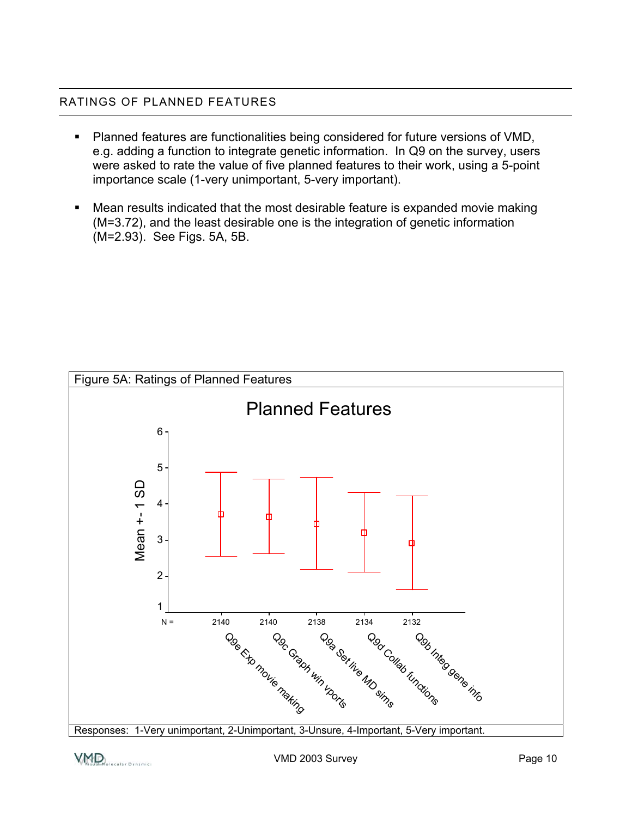#### RATINGS OF PLANNED FEATURES

- Planned features are functionalities being considered for future versions of VMD, e.g. adding a function to integrate genetic information. In Q9 on the survey, users were asked to rate the value of five planned features to their work, using a 5-point importance scale (1-very unimportant, 5-very important).
- Mean results indicated that the most desirable feature is expanded movie making (M=3.72), and the least desirable one is the integration of genetic information (M=2.93). See Figs. 5A, 5B.



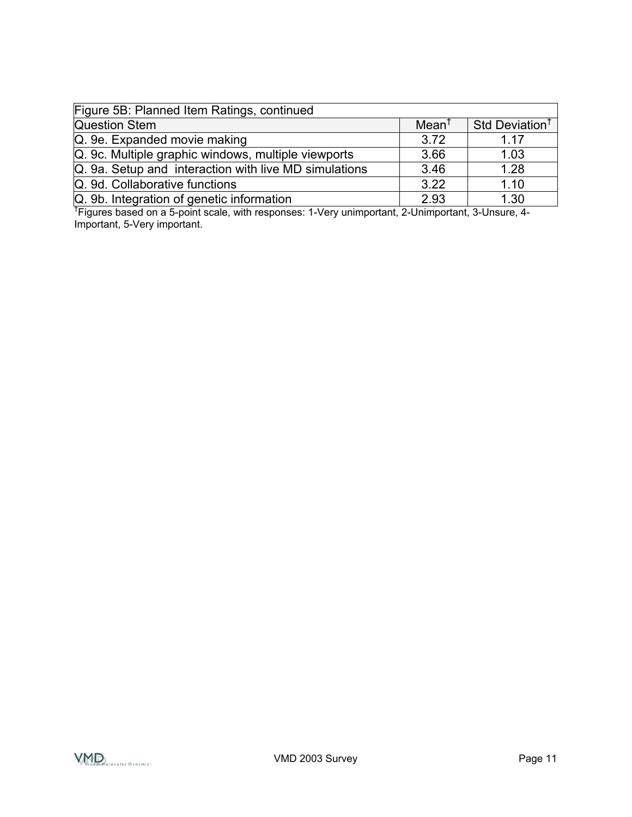| Figure 5B: Planned Item Ratings, continued                                                                     |                  |                            |  |
|----------------------------------------------------------------------------------------------------------------|------------------|----------------------------|--|
| <b>Question Stem</b>                                                                                           | $Mean^{\dagger}$ | Std Deviation <sup>†</sup> |  |
| Q. 9e. Expanded movie making                                                                                   | 3.72             | 1.17                       |  |
| Q. 9c. Multiple graphic windows, multiple viewports                                                            | 3.66             | 1.03                       |  |
| Q. 9a. Setup and interaction with live MD simulations                                                          | 3.46             | 1.28                       |  |
| Q. 9d. Collaborative functions                                                                                 | 3.22             | 1.10                       |  |
| Q. 9b. Integration of genetic information                                                                      | 2.93             | 1.30                       |  |
| <sup>†</sup> Figures based on a 5-point scale, with responses: 1-Very unimportant, 2-Unimportant, 3-Unsure, 4- |                  |                            |  |

Important, 5-Very important.

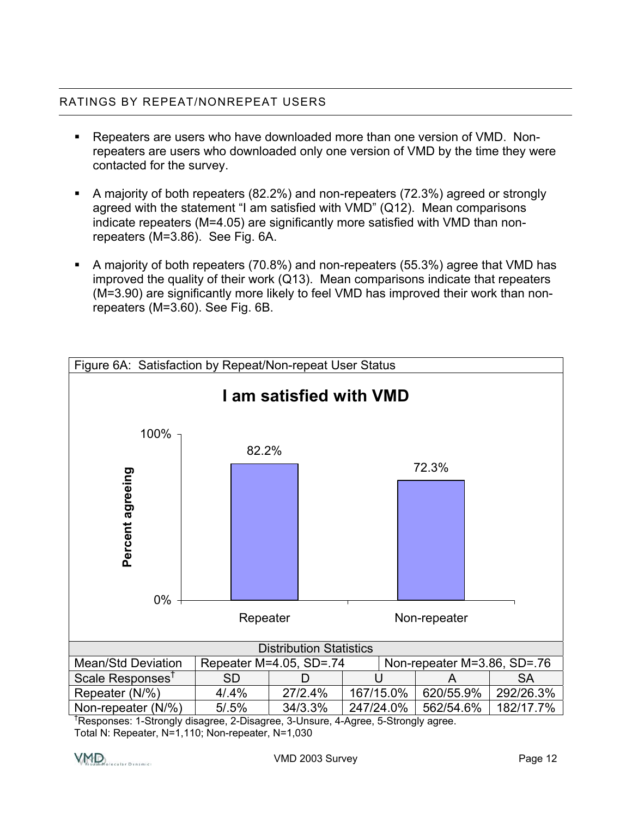#### RATINGS BY REPEAT/NONREPEAT USERS

- Repeaters are users who have downloaded more than one version of VMD. Nonrepeaters are users who downloaded only one version of VMD by the time they were contacted for the survey.
- A majority of both repeaters (82.2%) and non-repeaters (72.3%) agreed or strongly agreed with the statement "I am satisfied with VMD" (Q12). Mean comparisons indicate repeaters (M=4.05) are significantly more satisfied with VMD than nonrepeaters (M=3.86). See Fig. 6A.
- A majority of both repeaters (70.8%) and non-repeaters (55.3%) agree that VMD has improved the quality of their work (Q13). Mean comparisons indicate that repeaters (M=3.90) are significantly more likely to feel VMD has improved their work than nonrepeaters (M=3.60). See Fig. 6B.



† Responses: 1-Strongly disagree, 2-Disagree, 3-Unsure, 4-Agree, 5-Strongly agree. Total N: Repeater, N=1,110; Non-repeater, N=1,030

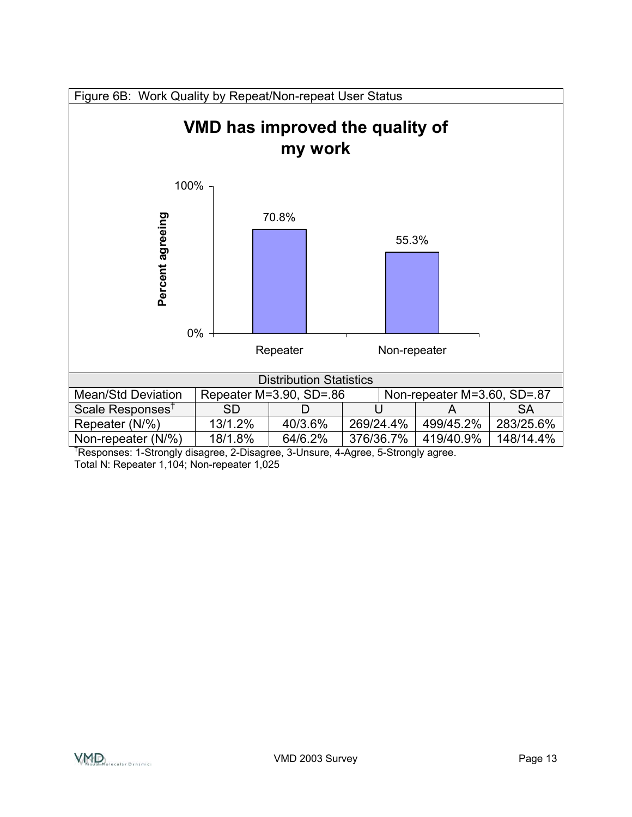

† Responses: 1-Strongly disagree, 2-Disagree, 3-Unsure, 4-Agree, 5-Strongly agree. Total N: Repeater 1,104; Non-repeater 1,025

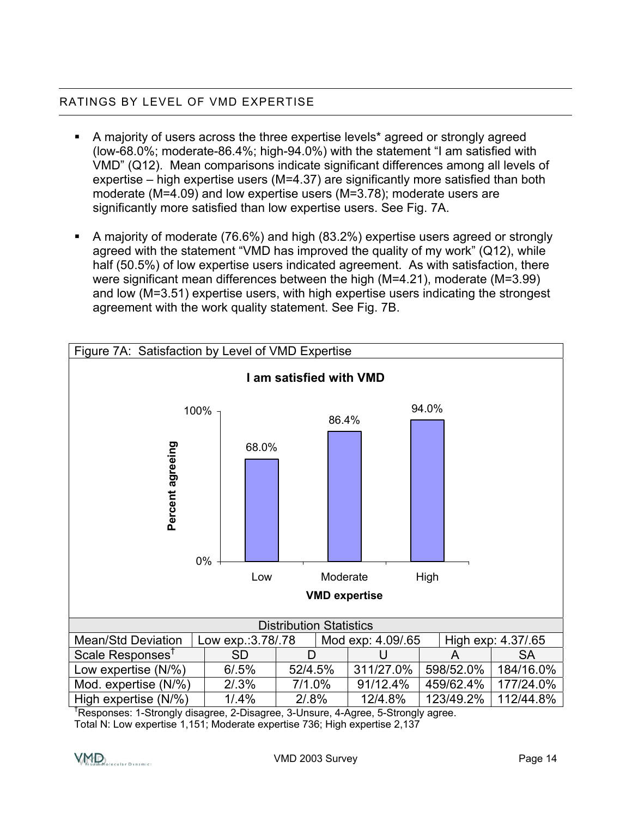#### RATINGS BY LEVEL OF VMD EXPERTISE

- A majority of users across the three expertise levels\* agreed or strongly agreed (low-68.0%; moderate-86.4%; high-94.0%) with the statement "I am satisfied with VMD" (Q12). Mean comparisons indicate significant differences among all levels of expertise – high expertise users (M=4.37) are significantly more satisfied than both moderate (M=4.09) and low expertise users (M=3.78); moderate users are significantly more satisfied than low expertise users. See Fig. 7A.
- A majority of moderate (76.6%) and high (83.2%) expertise users agreed or strongly agreed with the statement "VMD has improved the quality of my work" (Q12), while half (50.5%) of low expertise users indicated agreement. As with satisfaction, there were significant mean differences between the high (M=4.21), moderate (M=3.99) and low (M=3.51) expertise users, with high expertise users indicating the strongest agreement with the work quality statement. See Fig. 7B.



† Responses: 1-Strongly disagree, 2-Disagree, 3-Unsure, 4-Agree, 5-Strongly agree. Total N: Low expertise 1,151; Moderate expertise 736; High expertise 2,137

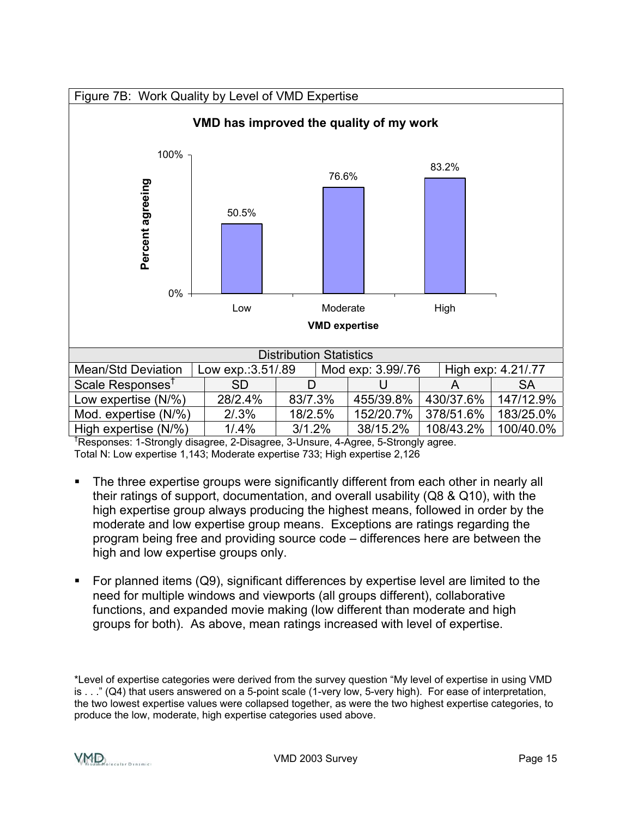

† Responses: 1-Strongly disagree, 2-Disagree, 3-Unsure, 4-Agree, 5-Strongly agree. Total N: Low expertise 1,143; Moderate expertise 733; High expertise 2,126

- The three expertise groups were significantly different from each other in nearly all their ratings of support, documentation, and overall usability (Q8 & Q10), with the high expertise group always producing the highest means, followed in order by the moderate and low expertise group means. Exceptions are ratings regarding the program being free and providing source code – differences here are between the high and low expertise groups only.
- For planned items (Q9), significant differences by expertise level are limited to the need for multiple windows and viewports (all groups different), collaborative functions, and expanded movie making (low different than moderate and high groups for both). As above, mean ratings increased with level of expertise.

<sup>\*</sup>Level of expertise categories were derived from the survey question "My level of expertise in using VMD is . . ." (Q4) that users answered on a 5-point scale (1-very low, 5-very high). For ease of interpretation, the two lowest expertise values were collapsed together, as were the two highest expertise categories, to produce the low, moderate, high expertise categories used above.

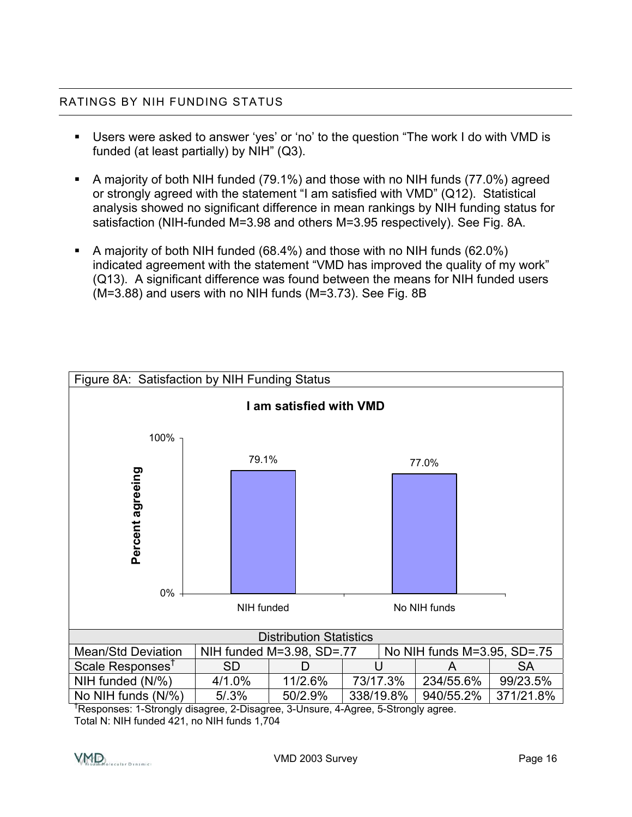#### RATINGS BY NIH FUNDING STATUS

- Users were asked to answer 'yes' or 'no' to the question "The work I do with VMD is funded (at least partially) by NIH" (Q3).
- A majority of both NIH funded (79.1%) and those with no NIH funds (77.0%) agreed or strongly agreed with the statement "I am satisfied with VMD" (Q12). Statistical analysis showed no significant difference in mean rankings by NIH funding status for satisfaction (NIH-funded M=3.98 and others M=3.95 respectively). See Fig. 8A.
- A majority of both NIH funded (68.4%) and those with no NIH funds (62.0%) indicated agreement with the statement "VMD has improved the quality of my work" (Q13). A significant difference was found between the means for NIH funded users (M=3.88) and users with no NIH funds (M=3.73). See Fig. 8B



† Responses: 1-Strongly disagree, 2-Disagree, 3-Unsure, 4-Agree, 5-Strongly agree.

Total N: NIH funded 421, no NIH funds 1,704

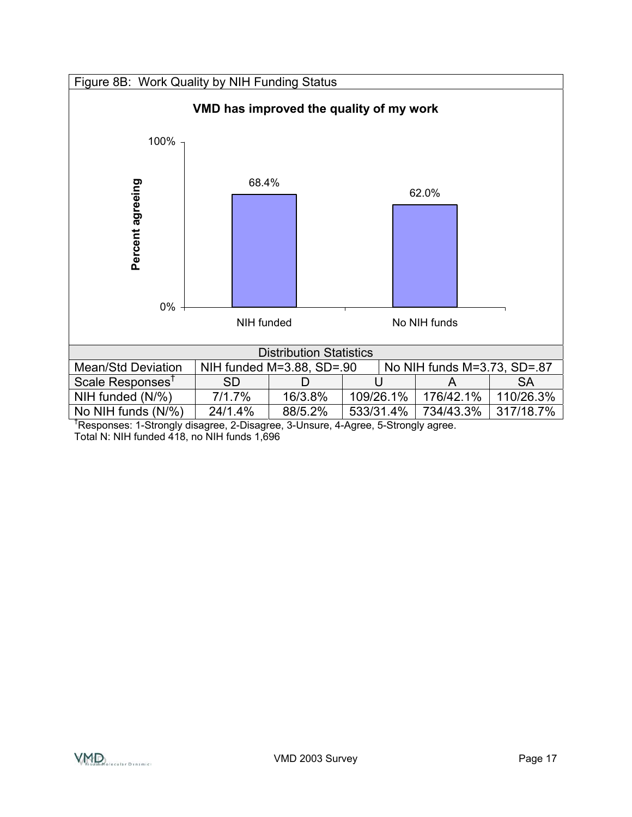



† Responses: 1-Strongly disagree, 2-Disagree, 3-Unsure, 4-Agree, 5-Strongly agree. Total N: NIH funded 418, no NIH funds 1,696

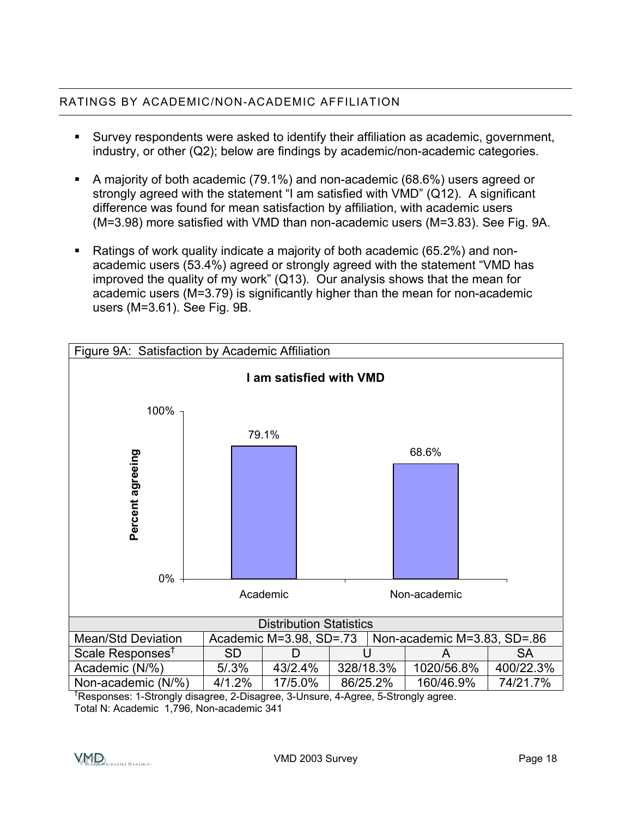#### RATINGS BY ACADEMIC/NON-ACADEMIC AFFILIATION

- Survey respondents were asked to identify their affiliation as academic, government, industry, or other (Q2); below are findings by academic/non-academic categories.
- A majority of both academic (79.1%) and non-academic (68.6%) users agreed or strongly agreed with the statement "I am satisfied with VMD" (Q12). A significant difference was found for mean satisfaction by affiliation, with academic users (M=3.98) more satisfied with VMD than non-academic users (M=3.83). See Fig. 9A.
- Ratings of work quality indicate a majority of both academic (65.2%) and nonacademic users (53.4%) agreed or strongly agreed with the statement "VMD has improved the quality of my work" (Q13). Our analysis shows that the mean for academic users (M=3.79) is significantly higher than the mean for non-academic users (M=3.61). See Fig. 9B.



† Responses: 1-Strongly disagree, 2-Disagree, 3-Unsure, 4-Agree, 5-Strongly agree. Total N: Academic 1,796, Non-academic 341

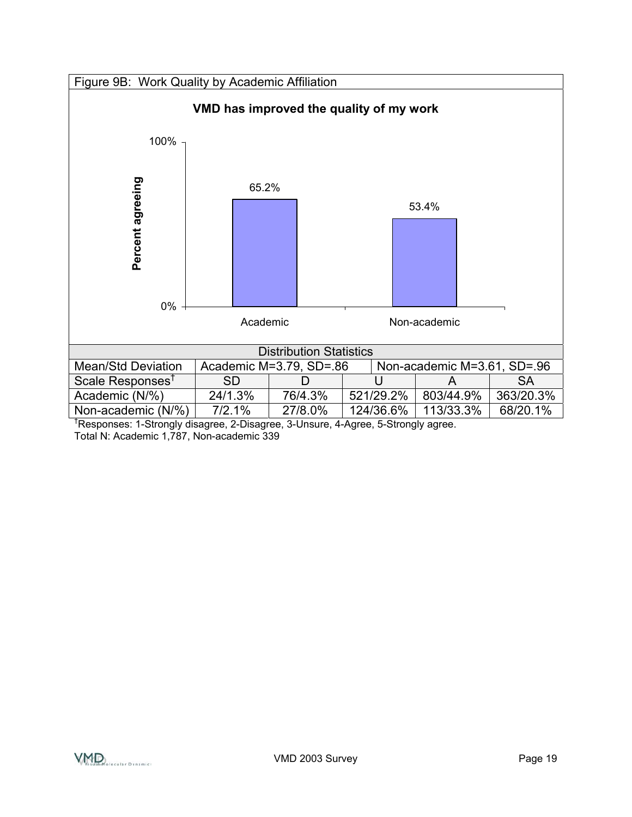



† Responses: 1-Strongly disagree, 2-Disagree, 3-Unsure, 4-Agree, 5-Strongly agree. Total N: Academic 1,787, Non-academic 339

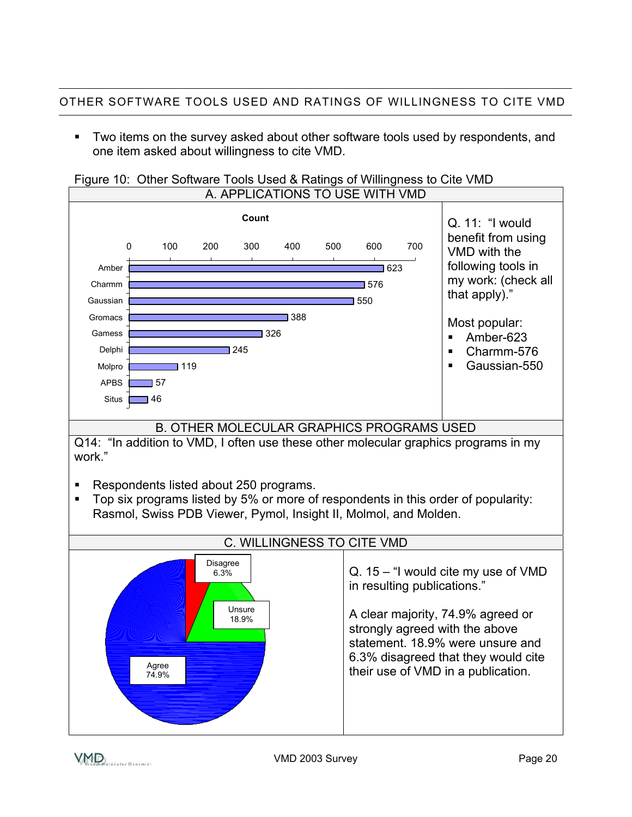Two items on the survey asked about other software tools used by respondents, and one item asked about willingness to cite VMD.



### Figure 10: Other Software Tools Used & Ratings of Willingness to Cite VMD

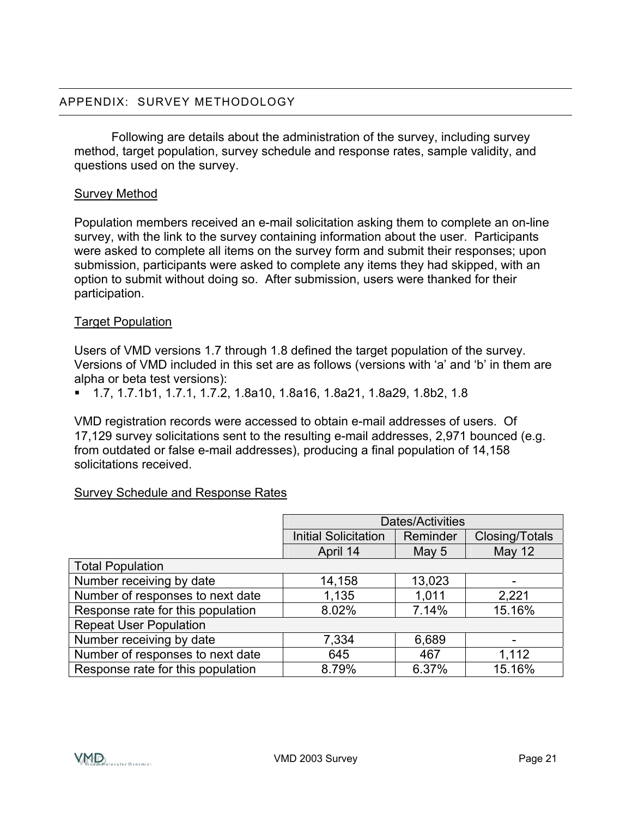Following are details about the administration of the survey, including survey method, target population, survey schedule and response rates, sample validity, and questions used on the survey.

#### Survey Method

Population members received an e-mail solicitation asking them to complete an on-line survey, with the link to the survey containing information about the user. Participants were asked to complete all items on the survey form and submit their responses; upon submission, participants were asked to complete any items they had skipped, with an option to submit without doing so. After submission, users were thanked for their participation.

#### Target Population

Users of VMD versions 1.7 through 1.8 defined the target population of the survey. Versions of VMD included in this set are as follows (versions with 'a' and 'b' in them are alpha or beta test versions):

1.7, 1.7.1b1, 1.7.1, 1.7.2, 1.8a10, 1.8a16, 1.8a21, 1.8a29, 1.8b2, 1.8

VMD registration records were accessed to obtain e-mail addresses of users. Of 17,129 survey solicitations sent to the resulting e-mail addresses, 2,971 bounced (e.g. from outdated or false e-mail addresses), producing a final population of 14,158 solicitations received.

#### Survey Schedule and Response Rates

|                                   | Dates/Activities            |          |                |
|-----------------------------------|-----------------------------|----------|----------------|
|                                   | <b>Initial Solicitation</b> | Reminder | Closing/Totals |
|                                   | April 14                    | May 5    | <b>May 12</b>  |
| <b>Total Population</b>           |                             |          |                |
| Number receiving by date          | 14,158                      | 13,023   |                |
| Number of responses to next date  | 1,135                       | 1,011    | 2,221          |
| Response rate for this population | 8.02%                       | 7.14%    | 15.16%         |
| <b>Repeat User Population</b>     |                             |          |                |
| Number receiving by date          | 7,334                       | 6,689    |                |
| Number of responses to next date  | 645                         | 467      | 1,112          |
| Response rate for this population | 8.79%                       | 6.37%    | 15.16%         |

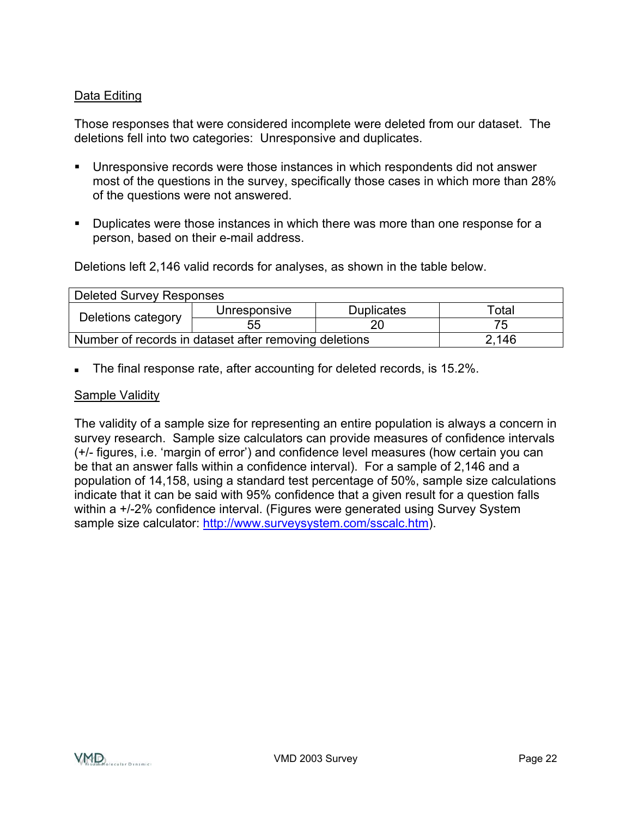#### Data Editing

Those responses that were considered incomplete were deleted from our dataset. The deletions fell into two categories: Unresponsive and duplicates.

- Unresponsive records were those instances in which respondents did not answer most of the questions in the survey, specifically those cases in which more than 28% of the questions were not answered.
- **Duplicates were those instances in which there was more than one response for a** person, based on their e-mail address.

Deletions left 2,146 valid records for analyses, as shown in the table below.

| <b>Deleted Survey Responses</b>                       |              |                   |       |
|-------------------------------------------------------|--------------|-------------------|-------|
| Deletions category                                    | Unresponsive | <b>Duplicates</b> | Total |
|                                                       | 55           |                   | 75    |
| Number of records in dataset after removing deletions | 2,146        |                   |       |

The final response rate, after accounting for deleted records, is 15.2%.

#### Sample Validity

The validity of a sample size for representing an entire population is always a concern in survey research. Sample size calculators can provide measures of confidence intervals (+/- figures, i.e. 'margin of error') and confidence level measures (how certain you can be that an answer falls within a confidence interval). For a sample of 2,146 and a population of 14,158, using a standard test percentage of 50%, sample size calculations indicate that it can be said with 95% confidence that a given result for a question falls within a +/-2% confidence interval. (Figures were generated using Survey System sample size calculator: <http://www.surveysystem.com/sscalc.htm>).

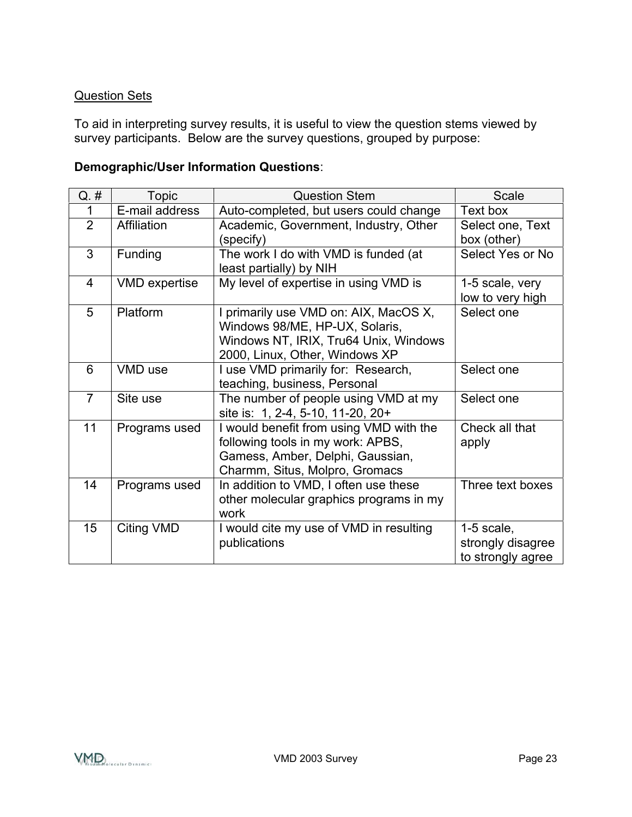#### Question Sets

To aid in interpreting survey results, it is useful to view the question stems viewed by survey participants. Below are the survey questions, grouped by purpose:

#### **Demographic/User Information Questions**:

| $Q.$ #         | <b>Topic</b>         | <b>Question Stem</b>                                                                                                                               | Scale                                                  |
|----------------|----------------------|----------------------------------------------------------------------------------------------------------------------------------------------------|--------------------------------------------------------|
| 1              | E-mail address       | Auto-completed, but users could change                                                                                                             | Text box                                               |
| $\overline{2}$ | Affiliation          | Academic, Government, Industry, Other<br>(specify)                                                                                                 | Select one, Text<br>box (other)                        |
| 3              | Funding              | The work I do with VMD is funded (at<br>least partially) by NIH                                                                                    | Select Yes or No                                       |
| $\overline{4}$ | <b>VMD</b> expertise | My level of expertise in using VMD is                                                                                                              | 1-5 scale, very<br>low to very high                    |
| 5              | Platform             | I primarily use VMD on: AIX, MacOS X,<br>Windows 98/ME, HP-UX, Solaris,<br>Windows NT, IRIX, Tru64 Unix, Windows<br>2000, Linux, Other, Windows XP | Select one                                             |
| 6              | VMD use              | I use VMD primarily for: Research,<br>teaching, business, Personal                                                                                 | Select one                                             |
| $\overline{7}$ | Site use             | The number of people using VMD at my<br>site is: 1, 2-4, 5-10, 11-20, 20+                                                                          | Select one                                             |
| 11             | Programs used        | I would benefit from using VMD with the<br>following tools in my work: APBS,<br>Gamess, Amber, Delphi, Gaussian,<br>Charmm, Situs, Molpro, Gromacs | Check all that<br>apply                                |
| 14             | Programs used        | In addition to VMD, I often use these<br>other molecular graphics programs in my<br>work                                                           | Three text boxes                                       |
| 15             | Citing VMD           | I would cite my use of VMD in resulting<br>publications                                                                                            | $1-5$ scale,<br>strongly disagree<br>to strongly agree |